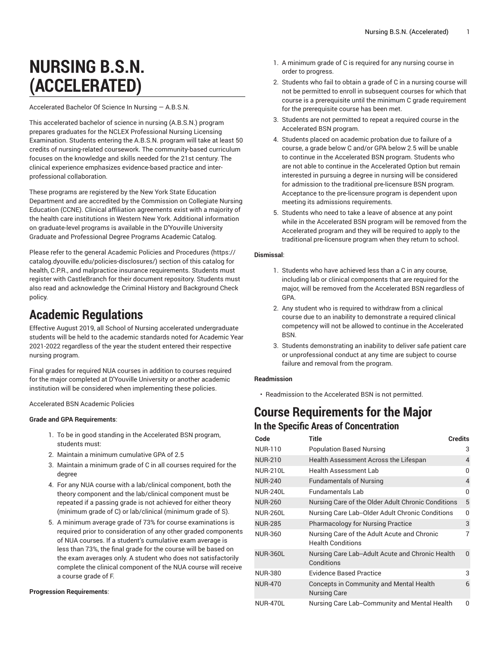# **NURSING B.S.N. (ACCELERATED)**

Accelerated Bachelor Of Science In Nursing — A.B.S.N.

This accelerated bachelor of science in nursing (A.B.S.N.) program prepares graduates for the NCLEX Professional Nursing Licensing Examination. Students entering the A.B.S.N. program will take at least 50 credits of nursing-related coursework. The community-based curriculum focuses on the knowledge and skills needed for the 21st century. The clinical experience emphasizes evidence-based practice and interprofessional collaboration.

These programs are registered by the New York State Education Department and are accredited by the Commission on Collegiate Nursing Education (CCNE). Clinical affiliation agreements exist with a majority of the health care institutions in Western New York. Additional information on graduate-level programs is available in the D'Youville University Graduate and Professional Degree Programs Academic Catalog.

Please refer to the general Academic Policies and [Procedures \(https://](https://catalog.dyouville.edu/policies-disclosures/) [catalog.dyouville.edu/policies-disclosures/](https://catalog.dyouville.edu/policies-disclosures/)) section of this catalog for health, C.P.R., and malpractice insurance requirements. Students must register with CastleBranch for their document repository. Students must also read and acknowledge the Criminal History and Background Check policy.

## **Academic Regulations**

Effective August 2019, all School of Nursing accelerated undergraduate students will be held to the academic standards noted for Academic Year 2021-2022 regardless of the year the student entered their respective nursing program.

Final grades for required NUA courses in addition to courses required for the major completed at D'Youville University or another academic institution will be considered when implementing these policies.

Accelerated BSN Academic Policies

#### **Grade and GPA Requirements**:

- 1. To be in good standing in the Accelerated BSN program, students must:
- 2. Maintain a minimum cumulative GPA of 2.5
- 3. Maintain a minimum grade of C in all courses required for the degree
- 4. For any NUA course with a lab/clinical component, both the theory component and the lab/clinical component must be repeated if a passing grade is not achieved for either theory (minimum grade of C) or lab/clinical (minimum grade of S).
- 5. A minimum average grade of 73% for course examinations is required prior to consideration of any other graded components of NUA courses. If a student's cumulative exam average is less than 73%, the final grade for the course will be based on the exam averages only. A student who does not satisfactorily complete the clinical component of the NUA course will receive a course grade of F.

#### **Progression Requirements**:

- 1. A minimum grade of C is required for any nursing course in order to progress.
- 2. Students who fail to obtain a grade of C in a nursing course will not be permitted to enroll in subsequent courses for which that course is a prerequisite until the minimum C grade requirement for the prerequisite course has been met.
- 3. Students are not permitted to repeat a required course in the Accelerated BSN program.
- 4. Students placed on academic probation due to failure of a course, a grade below C and/or GPA below 2.5 will be unable to continue in the Accelerated BSN program. Students who are not able to continue in the Accelerated Option but remain interested in pursuing a degree in nursing will be considered for admission to the traditional pre-licensure BSN program. Acceptance to the pre-licensure program is dependent upon meeting its admissions requirements.
- 5. Students who need to take a leave of absence at any point while in the Accelerated BSN program will be removed from the Accelerated program and they will be required to apply to the traditional pre-licensure program when they return to school.

#### **Dismissal**:

- 1. Students who have achieved less than a C in any course, including lab or clinical components that are required for the major, will be removed from the Accelerated BSN regardless of GPA.
- 2. Any student who is required to withdraw from a clinical course due to an inability to demonstrate a required clinical competency will not be allowed to continue in the Accelerated BSN.
- 3. Students demonstrating an inability to deliver safe patient care or unprofessional conduct at any time are subject to course failure and removal from the program.

#### **Readmission**

• Readmission to the Accelerated BSN is not permitted.

## **Course Requirements for the Major**

| In the Specific Areas of Concentration |                                                                         |              |  |
|----------------------------------------|-------------------------------------------------------------------------|--------------|--|
| Code                                   | <b>Title</b>                                                            | Credits      |  |
| NUR-110                                | <b>Population Based Nursing</b>                                         | 3            |  |
| NUR-210                                | Health Assessment Across the Lifespan                                   | 4            |  |
| <b>NUR-210L</b>                        | <b>Health Assessment Lab</b>                                            | O            |  |
| <b>NUR-240</b>                         | <b>Fundamentals of Nursing</b>                                          | 4            |  |
| <b>NUR-240L</b>                        | Fundamentals Lab                                                        | <sup>0</sup> |  |
| <b>NUR-260</b>                         | Nursing Care of the Older Adult Chronic Conditions                      | 5            |  |
| NUR-260L                               | Nursing Care Lab--Older Adult Chronic Conditions                        | 0            |  |
| <b>NUR-285</b>                         | <b>Pharmacology for Nursing Practice</b>                                | 3            |  |
| <b>NUR-360</b>                         | Nursing Care of the Adult Acute and Chronic<br><b>Health Conditions</b> | 7            |  |
| <b>NUR-360L</b>                        | Nursing Care Lab--Adult Acute and Chronic Health<br>Conditions          | <sup>n</sup> |  |
| NUR-380                                | <b>Evidence Based Practice</b>                                          | 3            |  |
| <b>NUR-470</b>                         | <b>Concepts in Community and Mental Health</b><br><b>Nursing Care</b>   | 6            |  |
| <b>NUR-470L</b>                        | Nursing Care Lab--Community and Mental Health                           | O            |  |